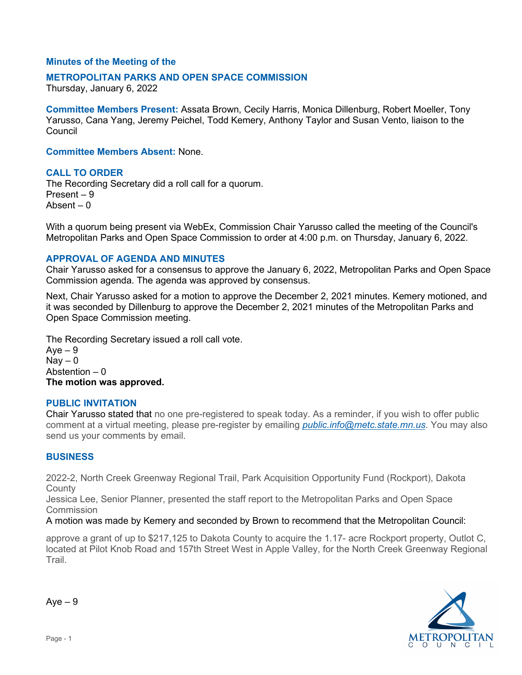## **Minutes of the Meeting of the**

#### **METROPOLITAN PARKS AND OPEN SPACE COMMISSION**

Thursday, January 6, 2022

**Committee Members Present:** Assata Brown, Cecily Harris, Monica Dillenburg, Robert Moeller, Tony Yarusso, Cana Yang, Jeremy Peichel, Todd Kemery, Anthony Taylor and Susan Vento, liaison to the Council

**Committee Members Absent:** None.

### **CALL TO ORDER**

The Recording Secretary did a roll call for a quorum. Present – 9 Absent  $= 0$ 

With a quorum being present via WebEx, Commission Chair Yarusso called the meeting of the Council's Metropolitan Parks and Open Space Commission to order at 4:00 p.m. on Thursday, January 6, 2022.

#### **APPROVAL OF AGENDA AND MINUTES**

Chair Yarusso asked for a consensus to approve the January 6, 2022, Metropolitan Parks and Open Space Commission agenda. The agenda was approved by consensus.

Next, Chair Yarusso asked for a motion to approve the December 2, 2021 minutes. Kemery motioned, and it was seconded by Dillenburg to approve the December 2, 2021 minutes of the Metropolitan Parks and Open Space Commission meeting.

The Recording Secretary issued a roll call vote.

 $Ave - 9$  $Nay - 0$ Abstention  $-0$ **The motion was approved.**

#### **PUBLIC INVITATION**

Chair Yarusso stated that no one pre-registered to speak today. As a reminder, if you wish to offer public comment at a virtual meeting, please pre-register by emailing *[public.info@metc.state.mn.us](mailto:public.info@metc.state.mn.us)*. You may also send us your comments by email.

#### **BUSINESS**

2022-2, North Creek Greenway Regional Trail, Park Acquisition Opportunity Fund (Rockport), Dakota **County** 

Jessica Lee, Senior Planner, presented the staff report to the Metropolitan Parks and Open Space **Commission** 

A motion was made by Kemery and seconded by Brown to recommend that the Metropolitan Council:

approve a grant of up to \$217,125 to Dakota County to acquire the 1.17- acre Rockport property, Outlot C, located at Pilot Knob Road and 157th Street West in Apple Valley, for the North Creek Greenway Regional Trail.



 $Ave - 9$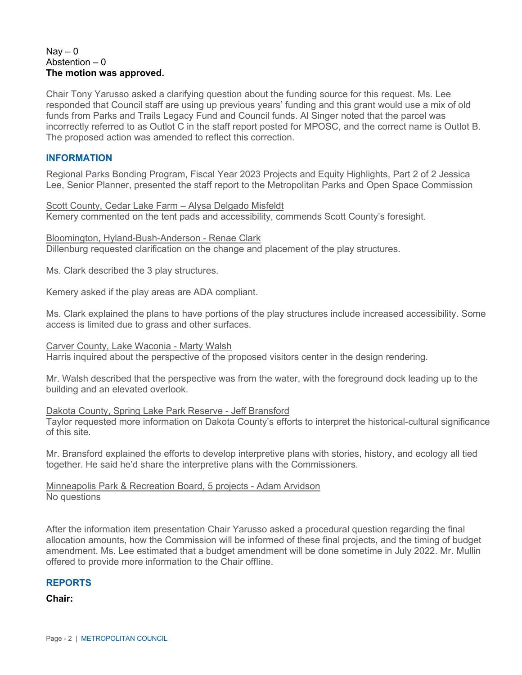#### $\text{Nav} - 0$ Abstention  $-0$ **The motion was approved.**

Chair Tony Yarusso asked a clarifying question about the funding source for this request. Ms. Lee responded that Council staff are using up previous years' funding and this grant would use a mix of old funds from Parks and Trails Legacy Fund and Council funds. Al Singer noted that the parcel was incorrectly referred to as Outlot C in the staff report posted for MPOSC, and the correct name is Outlot B. The proposed action was amended to reflect this correction.

## **INFORMATION**

Regional Parks Bonding Program, Fiscal Year 2023 Projects and Equity Highlights, Part 2 of 2 Jessica Lee, Senior Planner, presented the staff report to the Metropolitan Parks and Open Space Commission

Scott County, Cedar Lake Farm – Alysa Delgado Misfeldt Kemery commented on the tent pads and accessibility, commends Scott County's foresight.

Bloomington, Hyland-Bush-Anderson - Renae Clark Dillenburg requested clarification on the change and placement of the play structures.

Ms. Clark described the 3 play structures.

Kemery asked if the play areas are ADA compliant.

Ms. Clark explained the plans to have portions of the play structures include increased accessibility. Some access is limited due to grass and other surfaces.

Carver County, Lake Waconia - Marty Walsh

Harris inquired about the perspective of the proposed visitors center in the design rendering.

Mr. Walsh described that the perspective was from the water, with the foreground dock leading up to the building and an elevated overlook.

#### Dakota County, Spring Lake Park Reserve - Jeff Bransford

Taylor requested more information on Dakota County's efforts to interpret the historical-cultural significance of this site.

Mr. Bransford explained the efforts to develop interpretive plans with stories, history, and ecology all tied together. He said he'd share the interpretive plans with the Commissioners.

#### Minneapolis Park & Recreation Board, 5 projects - Adam Arvidson No questions

After the information item presentation Chair Yarusso asked a procedural question regarding the final allocation amounts, how the Commission will be informed of these final projects, and the timing of budget amendment. Ms. Lee estimated that a budget amendment will be done sometime in July 2022. Mr. Mullin offered to provide more information to the Chair offline.

# **REPORTS**

**Chair:**